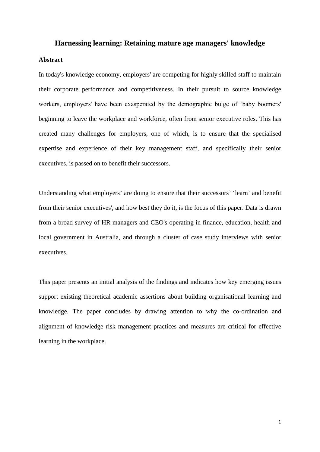## **Harnessing learning: Retaining mature age managers' knowledge**

#### **Abstract**

In today's knowledge economy, employers' are competing for highly skilled staff to maintain their corporate performance and competitiveness. In their pursuit to source knowledge workers, employers' have been exasperated by the demographic bulge of 'baby boomers' beginning to leave the workplace and workforce, often from senior executive roles. This has created many challenges for employers, one of which, is to ensure that the specialised expertise and experience of their key management staff, and specifically their senior executives, is passed on to benefit their successors.

Understanding what employers' are doing to ensure that their successors' 'learn' and benefit from their senior executives', and how best they do it, is the focus of this paper. Data is drawn from a broad survey of HR managers and CEO's operating in finance, education, health and local government in Australia, and through a cluster of case study interviews with senior executives.

This paper presents an initial analysis of the findings and indicates how key emerging issues support existing theoretical academic assertions about building organisational learning and knowledge. The paper concludes by drawing attention to why the co-ordination and alignment of knowledge risk management practices and measures are critical for effective learning in the workplace.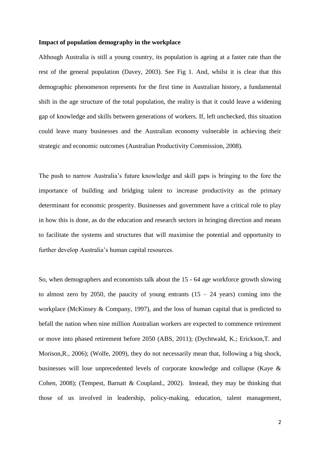#### **Impact of population demography in the workplace**

Although Australia is still a young country, its population is ageing at a faster rate than the rest of the general population (Davey, 2003). See Fig 1. And, whilst it is clear that this demographic phenomenon represents for the first time in Australian history, a fundamental shift in the age structure of the total population, the reality is that it could leave a widening gap of knowledge and skills between generations of workers. If, left unchecked, this situation could leave many businesses and the Australian economy vulnerable in achieving their strategic and economic outcomes (Australian Productivity Commission, 2008).

The push to narrow Australia's future knowledge and skill gaps is bringing to the fore the importance of building and bridging talent to increase productivity as the primary determinant for economic prosperity. Businesses and government have a critical role to play in how this is done, as do the education and research sectors in bringing direction and means to facilitate the systems and structures that will maximise the potential and opportunity to further develop Australia's human capital resources.

So, when demographers and economists talk about the 15 - 64 age workforce growth slowing to almost zero by 2050, the paucity of young entrants  $(15 - 24 \text{ years})$  coming into the workplace (McKinsey & Company, 1997), and the loss of human capital that is predicted to befall the nation when nine million Australian workers are expected to commence retirement or move into phased retirement before 2050 (ABS, 2011); (Dychtwald, K.; Erickson,T. and Morison,R., 2006); (Wolfe, 2009), they do not necessarily mean that, following a big shock, businesses will lose unprecedented levels of corporate knowledge and collapse (Kaye & Cohen, 2008); (Tempest, Barnatt & Coupland., 2002). Instead, they may be thinking that those of us involved in leadership, policy-making, education, talent management,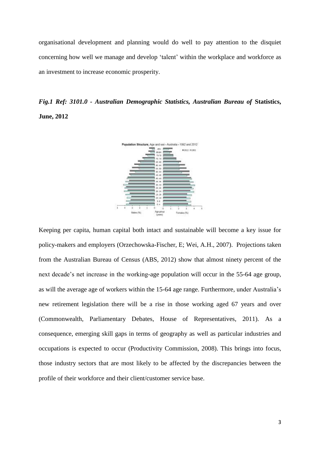organisational development and planning would do well to pay attention to the disquiet concerning how well we manage and develop 'talent' within the workplace and workforce as an investment to increase economic prosperity.

*Fig.1 Ref: 3101.0 - Australian Demographic Statistics, Australian Bureau of* **Statistics, June, 2012**



Keeping per capita, human capital both intact and sustainable will become a key issue for policy-makers and employers (Orzechowska-Fischer, E; Wei, A.H., 2007). Projections taken from the Australian Bureau of Census (ABS, 2012) show that almost ninety percent of the next decade's net increase in the working-age population will occur in the 55-64 age group, as will the average age of workers within the 15-64 age range. Furthermore, under Australia's new retirement legislation there will be a rise in those working aged 67 years and over (Commonwealth, Parliamentary Debates, House of Representatives, 2011). As a consequence, emerging skill gaps in terms of geography as well as particular industries and occupations is expected to occur (Productivity Commission, 2008). This brings into focus, those industry sectors that are most likely to be affected by the discrepancies between the profile of their workforce and their client/customer service base.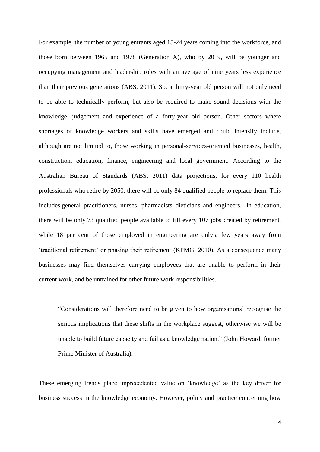For example, the number of young entrants aged 15-24 years coming into the workforce, and those born between 1965 and 1978 (Generation X), who by 2019, will be younger and occupying management and leadership roles with an average of nine years less experience than their previous generations (ABS, 2011). So, a thirty-year old person will not only need to be able to technically perform, but also be required to make sound decisions with the knowledge, judgement and experience of a forty-year old person. Other sectors where shortages of knowledge workers and skills have emerged and could intensify include, although are not limited to, those working in personal-services-oriented businesses, health, construction, education, finance, engineering and local government. According to the Australian Bureau of Standards (ABS, 2011) data projections, for every 110 health professionals who retire by 2050, there will be only 84 qualified people to replace them. This includes general practitioners, nurses, pharmacists, dieticians and engineers. In education, there will be only 73 qualified people available to fill every 107 jobs created by retirement, while 18 per cent of those employed in engineering are only a few years away from 'traditional retirement' or phasing their retirement (KPMG, 2010). As a consequence many businesses may find themselves carrying employees that are unable to perform in their current work, and be untrained for other future work responsibilities.

"Considerations will therefore need to be given to how organisations' recognise the serious implications that these shifts in the workplace suggest, otherwise we will be unable to build future capacity and fail as a knowledge nation." (John Howard, former Prime Minister of Australia).

These emerging trends place unprecedented value on 'knowledge' as the key driver for business success in the knowledge economy. However, policy and practice concerning how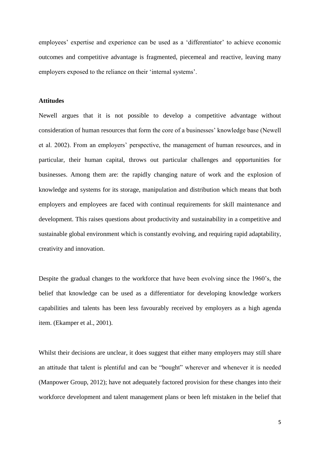employees' expertise and experience can be used as a 'differentiator' to achieve economic outcomes and competitive advantage is fragmented, piecemeal and reactive, leaving many employers exposed to the reliance on their 'internal systems'.

## **Attitudes**

Newell argues that it is not possible to develop a competitive advantage without consideration of human resources that form the core of a businesses' knowledge base (Newell et al. 2002). From an employers' perspective, the management of human resources, and in particular, their human capital, throws out particular challenges and opportunities for businesses. Among them are: the rapidly changing nature of work and the explosion of knowledge and systems for its storage, manipulation and distribution which means that both employers and employees are faced with continual requirements for skill maintenance and development. This raises questions about productivity and sustainability in a competitive and sustainable global environment which is constantly evolving, and requiring rapid adaptability, creativity and innovation.

Despite the gradual changes to the workforce that have been evolving since the 1960's, the belief that knowledge can be used as a differentiator for developing knowledge workers capabilities and talents has been less favourably received by employers as a high agenda item. (Ekamper et al., 2001).

Whilst their decisions are unclear, it does suggest that either many employers may still share an attitude that talent is plentiful and can be "bought" wherever and whenever it is needed (Manpower Group, 2012); have not adequately factored provision for these changes into their workforce development and talent management plans or been left mistaken in the belief that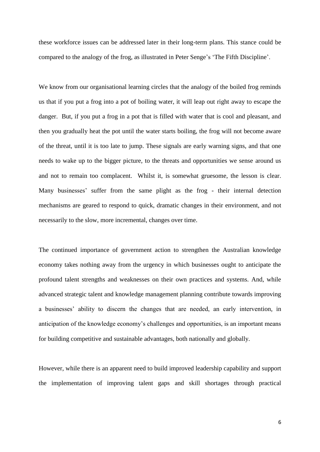these workforce issues can be addressed later in their long-term plans. This stance could be compared to the analogy of the frog, as illustrated in Peter Senge's 'The Fifth Discipline'.

We know from our organisational learning circles that the analogy of the boiled frog reminds us that if you put a frog into a pot of boiling water, it will leap out right away to escape the danger. But, if you put a frog in a pot that is filled with water that is cool and pleasant, and then you gradually heat the pot until the water starts boiling, the frog will not become aware of the threat, until it is too late to jump. These signals are early warning signs, and that one needs to wake up to the bigger picture, to the threats and opportunities we sense around us and not to remain too complacent. Whilst it, is somewhat gruesome, the lesson is clear. Many businesses' suffer from the same plight as the frog - their internal detection mechanisms are geared to respond to quick, dramatic changes in their environment, and not necessarily to the slow, more incremental, changes over time.

The continued importance of government action to strengthen the Australian knowledge economy takes nothing away from the urgency in which businesses ought to anticipate the profound talent strengths and weaknesses on their own practices and systems. And, while advanced strategic talent and knowledge management planning contribute towards improving a businesses' ability to discern the changes that are needed, an early intervention, in anticipation of the knowledge economy's challenges and opportunities, is an important means for building competitive and sustainable advantages, both nationally and globally.

However, while there is an apparent need to build improved leadership capability and support the implementation of improving talent gaps and skill shortages through practical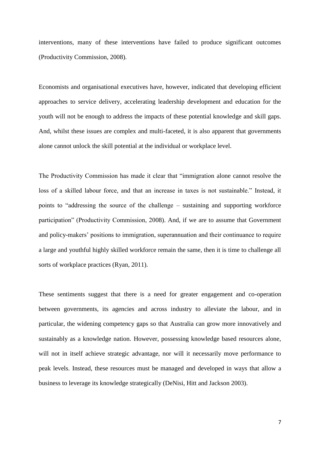interventions, many of these interventions have failed to produce significant outcomes (Productivity Commission, 2008).

Economists and organisational executives have, however, indicated that developing efficient approaches to service delivery, accelerating leadership development and education for the youth will not be enough to address the impacts of these potential knowledge and skill gaps. And, whilst these issues are complex and multi-faceted, it is also apparent that governments alone cannot unlock the skill potential at the individual or workplace level.

The Productivity Commission has made it clear that "immigration alone cannot resolve the loss of a skilled labour force, and that an increase in taxes is not sustainable." Instead, it points to "addressing the source of the challenge – sustaining and supporting workforce participation" (Productivity Commission, 2008). And, if we are to assume that Government and policy-makers' positions to immigration, superannuation and their continuance to require a large and youthful highly skilled workforce remain the same, then it is time to challenge all sorts of workplace practices (Ryan, 2011).

These sentiments suggest that there is a need for greater engagement and co-operation between governments, its agencies and across industry to alleviate the labour, and in particular, the widening competency gaps so that Australia can grow more innovatively and sustainably as a knowledge nation. However, possessing knowledge based resources alone, will not in itself achieve strategic advantage, nor will it necessarily move performance to peak levels. Instead, these resources must be managed and developed in ways that allow a business to leverage its knowledge strategically (DeNisi, Hitt and Jackson 2003).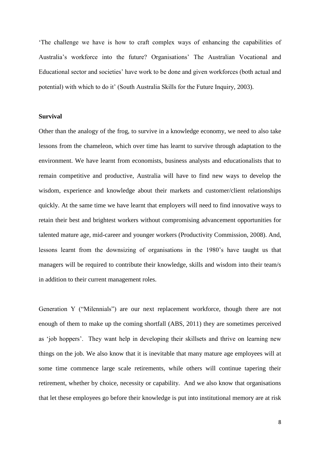'The challenge we have is how to craft complex ways of enhancing the capabilities of Australia's workforce into the future? Organisations' The Australian Vocational and Educational sector and societies' have work to be done and given workforces (both actual and potential) with which to do it' (South Australia Skills for the Future Inquiry, 2003).

## **Survival**

Other than the analogy of the frog, to survive in a knowledge economy, we need to also take lessons from the chameleon, which over time has learnt to survive through adaptation to the environment. We have learnt from economists, business analysts and educationalists that to remain competitive and productive, Australia will have to find new ways to develop the wisdom, experience and knowledge about their markets and customer/client relationships quickly. At the same time we have learnt that employers will need to find innovative ways to retain their best and brightest workers without compromising advancement opportunities for talented mature age, mid-career and younger workers (Productivity Commission, 2008). And, lessons learnt from the downsizing of organisations in the 1980's have taught us that managers will be required to contribute their knowledge, skills and wisdom into their team/s in addition to their current management roles.

Generation Y ("Milennials") are our next replacement workforce, though there are not enough of them to make up the coming shortfall (ABS, 2011) they are sometimes perceived as 'job hoppers'. They want help in developing their skillsets and thrive on learning new things on the job. We also know that it is inevitable that many mature age employees will at some time commence large scale retirements, while others will continue tapering their retirement, whether by choice, necessity or capability. And we also know that organisations that let these employees go before their knowledge is put into institutional memory are at risk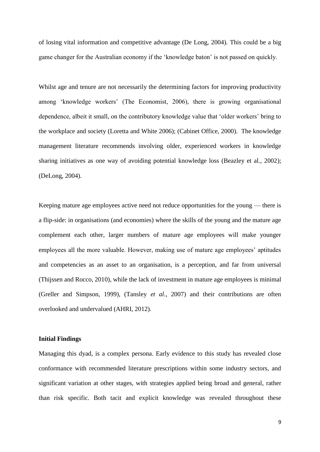of losing vital information and competitive advantage (De Long, 2004). This could be a big game changer for the Australian economy if the 'knowledge baton' is not passed on quickly.

Whilst age and tenure are not necessarily the determining factors for improving productivity among 'knowledge workers' (The Economist, 2006), there is growing organisational dependence, albeit it small, on the contributory knowledge value that 'older workers' bring to the workplace and society (Loretta and White 2006); (Cabinet Office, 2000). The knowledge management literature recommends involving older, experienced workers in knowledge sharing initiatives as one way of avoiding potential knowledge loss (Beazley et al., 2002); (DeLong, 2004).

Keeping mature age employees active need not reduce opportunities for the young — there is a flip-side: in organisations (and economies) where the skills of the young and the mature age complement each other, larger numbers of mature age employees will make younger employees all the more valuable. However, making use of mature age employees' aptitudes and competencies as an asset to an organisation, is a perception, and far from universal (Thijssen and Rocco, 2010), while the lack of investment in mature age employees is minimal (Greller and Simpson, 1999), (Tansley *et al*., 2007) and their contributions are often overlooked and undervalued (AHRI, 2012).

#### **Initial Findings**

Managing this dyad, is a complex persona. Early evidence to this study has revealed close conformance with recommended literature prescriptions within some industry sectors, and significant variation at other stages, with strategies applied being broad and general, rather than risk specific. Both tacit and explicit knowledge was revealed throughout these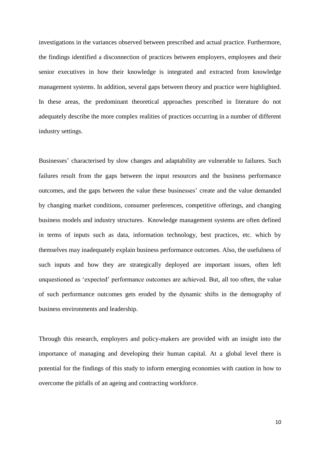investigations in the variances observed between prescribed and actual practice. Furthermore, the findings identified a disconnection of practices between employers, employees and their senior executives in how their knowledge is integrated and extracted from knowledge management systems. In addition, several gaps between theory and practice were highlighted. In these areas, the predominant theoretical approaches prescribed in literature do not adequately describe the more complex realities of practices occurring in a number of different industry settings.

Businesses' characterised by slow changes and adaptability are vulnerable to failures. Such failures result from the gaps between the input resources and the business performance outcomes, and the gaps between the value these businesses' create and the value demanded by changing market conditions, consumer preferences, competitive offerings, and changing business models and industry structures. Knowledge management systems are often defined in terms of inputs such as data, information technology, best practices, etc. which by themselves may inadequately explain business performance outcomes. Also, the usefulness of such inputs and how they are strategically deployed are important issues, often left unquestioned as 'expected' performance outcomes are achieved. But, all too often, the value of such performance outcomes gets eroded by the dynamic shifts in the demography of business environments and leadership.

Through this research, employers and policy-makers are provided with an insight into the importance of managing and developing their human capital. At a global level there is potential for the findings of this study to inform emerging economies with caution in how to overcome the pitfalls of an ageing and contracting workforce.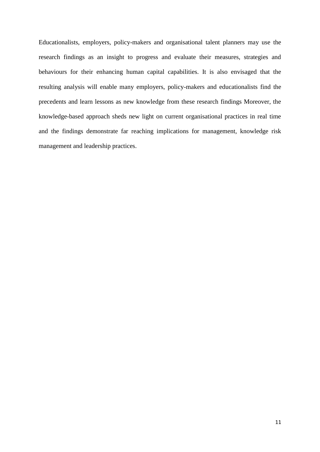Educationalists, employers, policy-makers and organisational talent planners may use the research findings as an insight to progress and evaluate their measures, strategies and behaviours for their enhancing human capital capabilities. It is also envisaged that the resulting analysis will enable many employers, policy-makers and educationalists find the precedents and learn lessons as new knowledge from these research findings Moreover, the knowledge-based approach sheds new light on current organisational practices in real time and the findings demonstrate far reaching implications for management, knowledge risk management and leadership practices.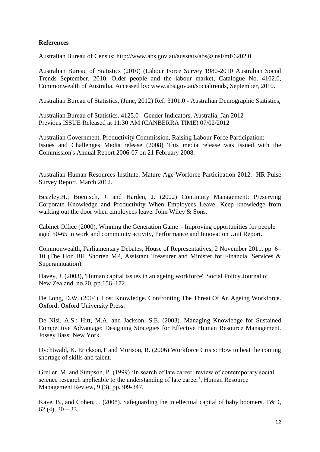# **References**

Australian Bureau of Census:<http://www.abs.gov.au/ausstats/abs@.nsf/mf/6202.0>

Australian Bureau of Statistics (2010) (Labour Force Survey 1980-2010 Australian Social Trends September, 2010, Older people and the labour market, Catalogue No. 4102.0, Commonwealth of Australia. Accessed by: www.abs.gov.au/socialtrends, September, 2010.

Australian Bureau of Statistics, (June, 2012) Ref: 3101.0 - Australian Demographic Statistics,

Australian Bureau of Statistics. 4125.0 - Gender Indicators, Australia, Jan 2012 Previous ISSUE Released at 11:30 AM (CANBERRA TIME) 07/02/2012

Australian Government, Productivity Commission, Raising Labour Force Participation: Issues and Challenges Media release (2008) This media release was issued with the Commission's [Annual Report 2006-07](http://www.pc.gov.au/annual-reports/annualreport0607) on 21 February 2008.

Australian Human Resources Institute. Mature Age Worforce Participation 2012. HR Pulse Survey Report, March 2012.

Beazley,H.; Boenisch, J. and Harden, J. (2002) Continuity Management: Preserving Corporate Knowledge and Productivity When Employees Leave. Keep knowledge from walking out the door when employees leave. John Wiley & Sons.

Cabinet Office (2000), Winning the Generation Game – Improving opportunities for people aged 50-65 in work and community activity, Performance and Innovation Unit Report.

Commonwealth, Parliamentary Debates, House of Representatives, 2 November 2011, pp. 6– 10 (The Hon Bill Shorten MP, Assistant Treasurer and Minister for Financial Services & Superannuation).

Davey, J. (2003), 'Human capital issues in an ageing workforce', Social Policy Journal of New Zealand, no.20, pp.156–172.

De Long, D.W. (2004). Lost Knowledge. Confronting The Threat Of An Ageing Workforce. Oxford: Oxford University Press.

De Nisi, A.S.; Hitt, M.A. and Jackson, S.E. (2003). Managing Knowledge for Sustained Competitive Advantage: Designing Strategies for Effective Human Resource Management. Jossey Bass, New York.

Dychtwald, K. Erickson,T and Morison, R. (2006) Workforce Crisis: How to beat the coming shortage of skills and talent.

Greller, M. and Simpson, P. (1999) 'In search of late career: review of contemporary social science research applicable to the understanding of late career', Human Resource Management Review, 9 (3), pp.309-347.

Kaye, B., and Cohen, J. (2008). Safeguarding the intellectual capital of baby boomers. T&D,  $62(4)$ ,  $30 - 33$ .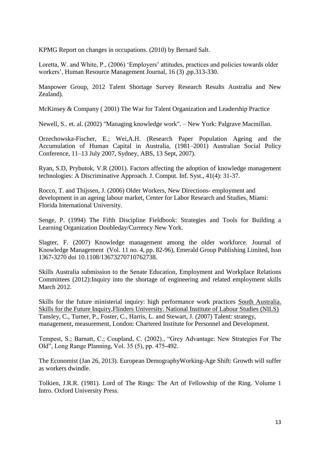KPMG Report on changes in occupations. (2010) by Bernard Salt.

Loretta, W. and White, P., (2006) 'Employers' attitudes, practices and policies towards older workers', Human Resource Management Journal, 16 (3) ,pp.313-330.

Manpower Group, 2012 Talent Shortage Survey Research Results Australia and New Zealand).

McKinsey & Company ( 2001) The War for Talent Organization and Leadership Practice

Newell, S.. et. al. (2002) "Managing knowledge work". – New York: Palgrave Macmillan.

Orzechowska-Fischer, E.; Wei,A.H. (Research Paper Population Ageing and the Accumulation of Human Capital in Australia, (1981–2001) Australian Social Policy Conference, 11–13 July 2007, Sydney, ABS, 13 Sept, 2007).

Ryan, S.D, Prybutok, V.R (2001). Factors affecting the adoption of knowledge management technologies: A Discriminative Approach. J. Comput. Inf. Syst., 41(4): 31-37.

Rocco, T. and Thijssen, J. (2006) Older Workers, New Directions- employment and development in an ageing labour market, Center for Labor Research and Studies, Miami: Florida International University.

Senge, P. (1994) The Fifth Discipline Fieldbook: Strategies and Tools for Building a Learning Organization Doubleday/Currency New York.

Slagter, F. (2007) Knowledge management among the older workforce. Journal of Knowledge Management (Vol. 11 no. 4, pp. 82-96), Emerald Group Publishing Limited, Issn 1367-3270 doi 10.1108/13673270710762738.

Skills Australia submission to the Senate Education, Employment and Workplace Relations Committees (2012):Inquiry into the shortage of engineering and related employment skills March 2012.

Skills for the future ministerial inquiry: high performance work practices [South Australia.](http://www.voced.edu.au/search/apachesolr_search/?filters=all_corpauthors%3A%22South+Australia.+Skills+for+the+Future+Inquiry%22)  [Skills for the Future Inquiry](http://www.voced.edu.au/search/apachesolr_search/?filters=all_corpauthors%3A%22South+Australia.+Skills+for+the+Future+Inquiry%22)[,Flinders University. National Institute of Labour Studies \(NILS\)](http://www.voced.edu.au/search/apachesolr_search/?filters=all_corpauthors%3A%22Flinders+University.+National+Institute+of+Labour+Studies+%28NILS%29%22) Tansley, C., Turner, P., Foster, C., Harris, L. and Stewart, J. (2007) Talent: strategy, management, measurement, London: Chartered Institute for Personnel and Development.

Tempest, S.; Barnatt, C.; Coupland, C. (2002)., "Grey Advantage: New Strategies For The Old", Long Range Planning, Vol. 35 (5), pp. 475-492.

The Economist (Jan 26, 2013). European DemographyWorking-Age Shift: Growth will suffer as workers dwindle.

Tolkien, J.R.R. (1981). Lord of The Rings: The Art of Fellowship of the Ring. Volume 1 Intro. Oxford University Press.